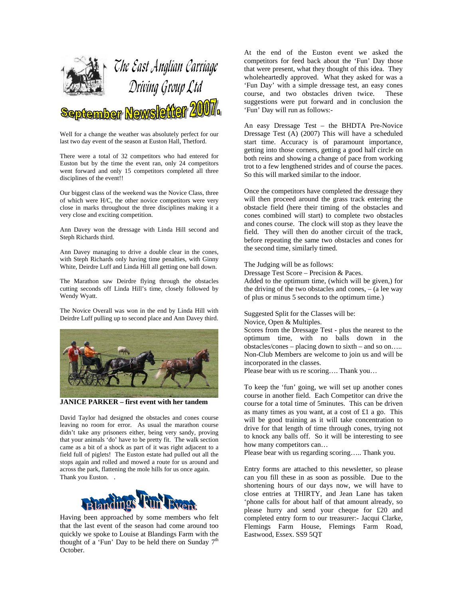

Well for a change the weather was absolutely perfect for our last two day event of the season at Euston Hall, Thetford.

There were a total of 32 competitors who had entered for Euston but by the time the event ran, only 24 competitors went forward and only 15 competitors completed all three disciplines of the event!!

Our biggest class of the weekend was the Novice Class, three of which were H/C, the other novice competitors were very close in marks throughout the three disciplines making it a very close and exciting competition.

Ann Davey won the dressage with Linda Hill second and Steph Richards third.

Ann Davey managing to drive a double clear in the cones, with Steph Richards only having time penalties, with Ginny White, Deirdre Luff and Linda Hill all getting one ball down.

The Marathon saw Deirdre flying through the obstacles cutting seconds off Linda Hill's time, closely followed by Wendy Wyatt.

The Novice Overall was won in the end by Linda Hill with Deirdre Luff pulling up to second place and Ann Davey third.



**JANICE PARKER – first event with her tandem** 

David Taylor had designed the obstacles and cones course leaving no room for error. As usual the marathon course didn't take any prisoners either, being very sandy, proving that your animals 'do' have to be pretty fit. The walk section came as a bit of a shock as part of it was right adjacent to a field full of piglets! The Euston estate had pulled out all the stops again and rolled and mowed a route for us around and across the park, flattening the mole hills for us once again. Thank you Euston. .



Having been approached by some members who felt that the last event of the season had come around too quickly we spoke to Louise at Blandings Farm with the thought of a 'Fun' Day to be held there on Sunday  $7<sup>th</sup>$ October.

At the end of the Euston event we asked the competitors for feed back about the 'Fun' Day those that were present, what they thought of this idea. They wholeheartedly approved. What they asked for was a 'Fun Day' with a simple dressage test, an easy cones course, and two obstacles driven twice. These suggestions were put forward and in conclusion the 'Fun' Day will run as follows:-

An easy Dressage Test – the BHDTA Pre-Novice Dressage Test (A) (2007) This will have a scheduled start time. Accuracy is of paramount importance, getting into those corners, getting a good half circle on both reins and showing a change of pace from working trot to a few lengthened strides and of course the paces. So this will marked similar to the indoor.

Once the competitors have completed the dressage they will then proceed around the grass track entering the obstacle field (here their timing of the obstacles and cones combined will start) to complete two obstacles and cones course. The clock will stop as they leave the field. They will then do another circuit of the track, before repeating the same two obstacles and cones for the second time, similarly timed.

The Judging will be as follows:

Dressage Test Score – Precision & Paces. Added to the optimum time, (which will be given,) for the driving of the two obstacles and cones, – (a lee way of plus or minus 5 seconds to the optimum time.)

Suggested Split for the Classes will be: Novice, Open & Multiples.

Scores from the Dressage Test - plus the nearest to the optimum time, with no balls down in the obstacles/cones – placing down to sixth – and so on….. Non-Club Members are welcome to join us and will be incorporated in the classes.

Please bear with us re scoring…. Thank you…

To keep the 'fun' going, we will set up another cones course in another field. Each Competitor can drive the course for a total time of 5minutes. This can be driven as many times as you want, at a cost of £1 a go. This will be good training as it will take concentration to drive for that length of time through cones, trying not to knock any balls off. So it will be interesting to see how many competitors can…

Please bear with us regarding scoring….. Thank you.

Entry forms are attached to this newsletter, so please can you fill these in as soon as possible. Due to the shortening hours of our days now, we will have to close entries at THIRTY, and Jean Lane has taken 'phone calls for about half of that amount already, so please hurry and send your cheque for £20 and completed entry form to our treasurer:- Jacqui Clarke, Flemings Farm House, Flemings Farm Road, Eastwood, Essex. SS9 5QT